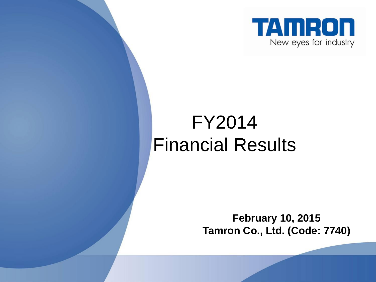

### FY2014 Financial Results

**February 10, 2015 Tamron Co., Ltd. (Code: 7740)**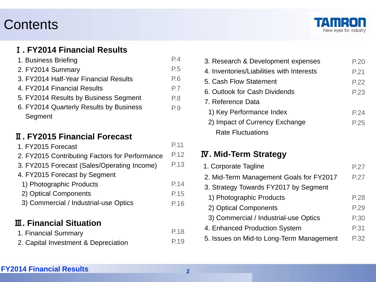#### **Contents**



#### Ⅰ**. FY2014 Financial Results**

| 1. Business Briefing                    | P.4            |
|-----------------------------------------|----------------|
| 2. FY2014 Summary                       | P <sub>5</sub> |
| 3. FY2014 Half-Year Financial Results   | P.6            |
| 4. FY2014 Financial Results             | P.7            |
| 5. FY2014 Results by Business Segment   | P.8            |
| 6. FY2014 Quarterly Results by Business | P.9            |
| Segment                                 |                |

#### Ⅱ**. FY2015 Financial Forecast**

| 1. FY2015 Forecast                             | P.11 |
|------------------------------------------------|------|
| 2. FY2015 Contributing Factors for Performance | P.12 |
| 3. FY2015 Forecast (Sales/Operating Income)    | P.13 |
| 4. FY2015 Forecast by Segment                  |      |
| 1) Photographic Products                       | P.14 |
| 2) Optical Components                          | P.15 |
| 3) Commercial / Industrial-use Optics          | P.16 |
| <b>III. Financial Situation</b>                |      |
| 1. Financial Summary                           |      |

2. Capital Investment & Depreciation

| 3. Research & Development expenses        | P.20 |
|-------------------------------------------|------|
| 4. Inventories/Liabilities with Interests | P.21 |
| 5. Cash Flow Statement                    | P.22 |
| 6. Outlook for Cash Dividends             | P.23 |
| 7. Reference Data                         |      |
| 1) Key Performance Index                  | P.24 |
| 2) Impact of Currency Exchange            | P.25 |
| <b>Rate Fluctuations</b>                  |      |

#### Ⅳ**. Mid-Term Strategy**

| 1. Corporate Tagline                     | P.27 |
|------------------------------------------|------|
| 2. Mid-Term Management Goals for FY2017  | P.27 |
| 3. Strategy Towards FY2017 by Segment    |      |
| 1) Photographic Products                 | P.28 |
| 2) Optical Components                    | P.29 |
| 3) Commercial / Industrial-use Optics    | P.30 |
| 4. Enhanced Production System            | P.31 |
| 5. Issues on Mid-to Long-Term Management | P.32 |

#### **FY2014 Financial Results <sup>2</sup>**

P.19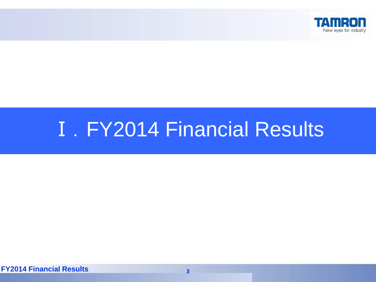

# **I. FY2014 Financial Results**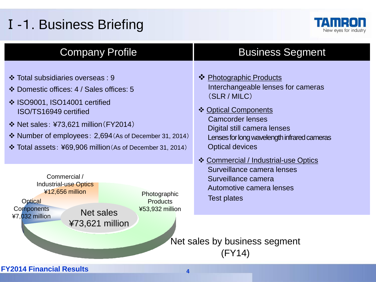### Ⅰ-1. Business Briefing



| <b>Company Profile</b>                                                                                                                                                                                                                                                                                             | <b>Business Segment</b>                                                                                                                                                                                                                                                          |  |  |  |  |  |  |
|--------------------------------------------------------------------------------------------------------------------------------------------------------------------------------------------------------------------------------------------------------------------------------------------------------------------|----------------------------------------------------------------------------------------------------------------------------------------------------------------------------------------------------------------------------------------------------------------------------------|--|--|--|--|--|--|
| ❖ Total subsidiaries overseas : 9<br>❖ Domestic offices: 4 / Sales offices: 5<br>❖ ISO9001, ISO14001 certified<br>ISO/TS16949 certified<br>$\div$ Net sales: ¥73,621 million (FY2014)<br>$\cdot$ Number of employees: 2,694 (As of December 31, 2014)<br>❖ Total assets: ¥69,906 million (As of December 31, 2014) | ❖ Photographic Products<br>Interchangeable lenses for cameras<br>(SLR / MILC)<br>❖ Optical Components<br><b>Camcorder lenses</b><br>Digital still camera lenses<br>Lenses for long wavelength infrared cameras<br><b>Optical devices</b><br>❖ Commercial / Industrial-use Optics |  |  |  |  |  |  |
| Commercial /<br><b>Industrial-use Optics</b><br>¥12,656 million<br>Photographic<br><b>Optical</b><br><b>Products</b><br>Components<br>¥53,932 million<br>Net sales                                                                                                                                                 | Surveillance camera lenses<br>Surveillance camera<br>Automotive camera lenses<br><b>Test plates</b>                                                                                                                                                                              |  |  |  |  |  |  |
| ¥7,032 million<br>$473,621$ million                                                                                                                                                                                                                                                                                | Net sales by business segment<br>(FY14)                                                                                                                                                                                                                                          |  |  |  |  |  |  |
| <b>FY2014 Financial Results</b><br>4                                                                                                                                                                                                                                                                               |                                                                                                                                                                                                                                                                                  |  |  |  |  |  |  |
|                                                                                                                                                                                                                                                                                                                    |                                                                                                                                                                                                                                                                                  |  |  |  |  |  |  |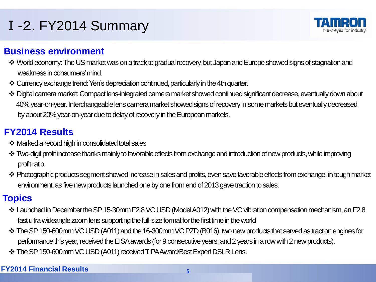### Ⅰ-2. FY2014 Summary

#### **Business environment**

- \* World economy: The US market was on a track to gradual recovery, but Japan and Europe showed signs of stagnation and weakness in consumers' mind.
- Currency exchange trend: Yen's depreciation continued, particularly in the 4th quarter.
- Digital camera market: Compact lens-integrated camera market showed continued significant decrease, eventually down about 40% year-on-year. Interchangeable lens camera market showed signs of recovery in some markets but eventually decreased by about 20% year-on-year due to delay of recovery in the European markets.

#### **FY2014 Results**

- Marked a record high in consolidated total sales
- \* Two-digit profit increase thanks mainly to favorable effects from exchange and introduction of new products, while improving profit ratio.
- Photographic products segment showed increase in sales and profits, even save favorable effects from exchange, in tough market environment, as five new products launched one by one from end of 2013 gave traction to sales.

#### **Topics**

- Launched in December the SP 15-30mm F2.8 VC USD (Model A012) with the VC vibration compensation mechanism, an F2.8 fast ultra wideangle zoom lens supporting the full-size format for the first time in the world
- The SP 150-600mm VC USD (A011) and the 16-300mm VC PZD (B016), two new products that served as traction engines for performance this year, received the EISA awards (for 9 consecutive years, and 2 years in a row with 2 new products).
- \* The SP 150-600mm VC USD (A011) received TIPA Award/Best Expert DSLR Lens.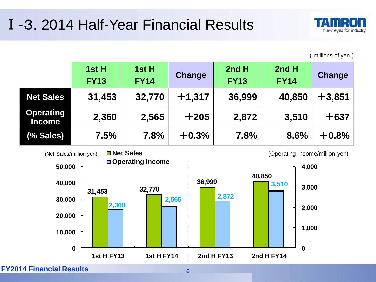### Ⅰ-3. 2014 Half-Year Financial Results



(millions of yen)

|                                   | 1st H<br><b>FY13</b> | 1st H<br><b>FY14</b> | <b>Change</b> | 2nd H<br><b>FY13</b> | 2nd H<br><b>FY14</b> | Change   |
|-----------------------------------|----------------------|----------------------|---------------|----------------------|----------------------|----------|
| <b>Net Sales</b>                  | 31,453               | 32,770               | $+1,317$      | 36,999               | 40,850               | $+3,851$ |
| <b>Operating</b><br><b>Income</b> | 2,360                | 2,565                | $+205$        | 2,872                | 3,510                | $+637$   |
| (% Sales)                         | 7.5%                 | 7.8%                 | $+0.3%$       | 7.8%                 | 8.6%                 | $+0.8%$  |

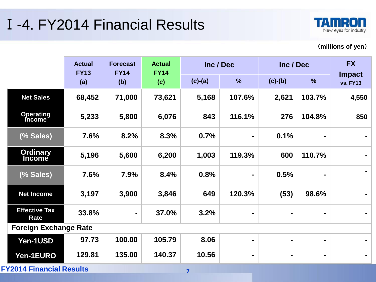### Ⅰ-4. FY2014 Financial Results



#### (**millions of yen**)

|                                  | <b>Actual</b><br><b>FY13</b> | <b>Forecast</b><br><b>FY14</b> | <b>Actual</b><br><b>FY14</b> |           | Inc / Dec      | Inc / Dec      |                | <b>FX</b>                        |
|----------------------------------|------------------------------|--------------------------------|------------------------------|-----------|----------------|----------------|----------------|----------------------------------|
|                                  | (a)                          | (b)                            | (c)                          | $(c)-(a)$ | $\frac{0}{0}$  | $(c)-(b)$      | $\%$           | <b>Impact</b><br><b>vs. FY13</b> |
| <b>Net Sales</b>                 | 68,452                       | 71,000                         | 73,621                       | 5,168     | 107.6%         | 2,621          | 103.7%         | 4,550                            |
| <b>Operating</b><br>Income       | 5,233                        | 5,800                          | 6,076                        | 843       | 116.1%         | 276            | 104.8%         | 850                              |
| (% Sales)                        | 7.6%                         | 8.2%                           | 8.3%                         | 0.7%      | $\blacksquare$ | 0.1%           | $\blacksquare$ |                                  |
| <b>Ordinary</b><br><b>Income</b> | 5,196                        | 5,600                          | 6,200                        | 1,003     | 119.3%         | 600            | 110.7%         |                                  |
| (% Sales)                        | 7.6%                         | 7.9%                           | 8.4%                         | 0.8%      | $\blacksquare$ | 0.5%           | ۰              |                                  |
| <b>Net Income</b>                | 3,197                        | 3,900                          | 3,846                        | 649       | 120.3%         | (53)           | 98.6%          |                                  |
| <b>Effective Tax</b><br>Rate     | 33.8%                        | $\blacksquare$                 | 37.0%                        | 3.2%      | $\blacksquare$ | $\blacksquare$ | $\blacksquare$ |                                  |
| <b>Foreign Exchange Rate</b>     |                              |                                |                              |           |                |                |                |                                  |
| Yen-1USD                         | 97.73                        | 100.00                         | 105.79                       | 8.06      | $\blacksquare$ | $\blacksquare$ | ٠              |                                  |
| Yen-1EURO                        | 129.81                       | 135.00                         | 140.37                       | 10.56     | $\blacksquare$ | $\blacksquare$ | ۰              |                                  |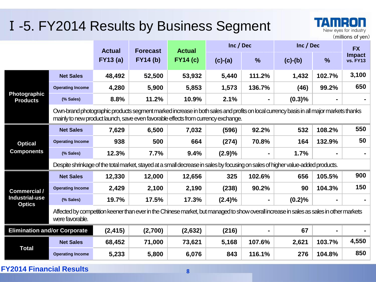### Ⅰ-5. FY2014 Results by Business Segment

|                                                                                                                                                                                                                            |                                                                                                                                                            |                 |                 |                 |           |                |           |               | (millions of yen)                |
|----------------------------------------------------------------------------------------------------------------------------------------------------------------------------------------------------------------------------|------------------------------------------------------------------------------------------------------------------------------------------------------------|-----------------|-----------------|-----------------|-----------|----------------|-----------|---------------|----------------------------------|
|                                                                                                                                                                                                                            |                                                                                                                                                            | <b>Actual</b>   | <b>Forecast</b> | <b>Actual</b>   | Inc / Dec |                | Inc / Dec |               | <b>FX</b>                        |
|                                                                                                                                                                                                                            |                                                                                                                                                            | <b>FY13 (a)</b> | <b>FY14 (b)</b> | <b>FY14 (c)</b> | $(c)-(a)$ | $\frac{9}{6}$  | $(c)-(b)$ | $\frac{9}{6}$ | <b>Impact</b><br><b>vs. FY13</b> |
|                                                                                                                                                                                                                            | <b>Net Sales</b>                                                                                                                                           | 48,492          | 52,500          | 53,932          | 5,440     | 111.2%         | 1,432     | 102.7%        | 3,100                            |
|                                                                                                                                                                                                                            | <b>Operating Income</b>                                                                                                                                    | 4,280           | 5,900           | 5,853           | 1,573     | 136.7%         | (46)      | 99.2%         | 650                              |
| Photographic<br><b>Products</b>                                                                                                                                                                                            | (% Sales)                                                                                                                                                  | 8.8%            | 11.2%           | 10.9%           | 2.1%      |                | (0.3)%    |               |                                  |
| Own-brand photographic products segment marked increase in both sales and profits on local currency basis in all major markets thanks<br>mainly to new product launch, save even favorable effects from currency exchange. |                                                                                                                                                            |                 |                 |                 |           |                |           |               |                                  |
|                                                                                                                                                                                                                            | <b>Net Sales</b>                                                                                                                                           | 7,629           | 6,500           | 7,032           | (596)     | 92.2%          | 532       | 108.2%        | 550                              |
| <b>Optical</b>                                                                                                                                                                                                             | <b>Operating Income</b>                                                                                                                                    | 938             | 500             | 664             | (274)     | 70.8%          | 164       | 132.9%        | 50                               |
| <b>Components</b>                                                                                                                                                                                                          | (% Sales)                                                                                                                                                  | 12.3%           | 7.7%            | 9.4%            | (2.9)%    | $\blacksquare$ | 1.7%      |               |                                  |
|                                                                                                                                                                                                                            | Despite shrinkage of the total market, stayed at a small decrease in sales by focusing on sales of higher value-added products.                            |                 |                 |                 |           |                |           |               |                                  |
|                                                                                                                                                                                                                            | <b>Net Sales</b>                                                                                                                                           | 12,330          | 12,000          | 12,656          | 325       | 102.6%         | 656       | 105.5%        | 900                              |
| <b>Commercial /</b>                                                                                                                                                                                                        | <b>Operating Income</b>                                                                                                                                    | 2,429           | 2,100           | 2,190           | (238)     | 90.2%          | 90        | 104.3%        | 150                              |
| <b>Industrial-use</b><br><b>Optics</b>                                                                                                                                                                                     | (% Sales)                                                                                                                                                  | 19.7%           | 17.5%           | 17.3%           | $(2.4)\%$ | Ξ.             | (0.2)%    |               |                                  |
|                                                                                                                                                                                                                            | Affected by competition keener than ever in the Chinese market, but managed to show overall increase in sales as sales in other markets<br>were favorable. |                 |                 |                 |           |                |           |               |                                  |
| <b>Elimination and/or Corporate</b>                                                                                                                                                                                        |                                                                                                                                                            | (2, 415)        | (2,700)         | (2,632)         | (216)     |                | 67        |               |                                  |
|                                                                                                                                                                                                                            | <b>Net Sales</b>                                                                                                                                           | 68,452          | 71,000          | 73,621          | 5,168     | 107.6%         | 2,621     | 103.7%        | 4,550                            |
| <b>Total</b>                                                                                                                                                                                                               | <b>Operating Income</b>                                                                                                                                    | 5,233           | 5,800           | 6,076           | 843       | 116.1%         | 276       | 104.8%        | 850                              |

New eyes for industry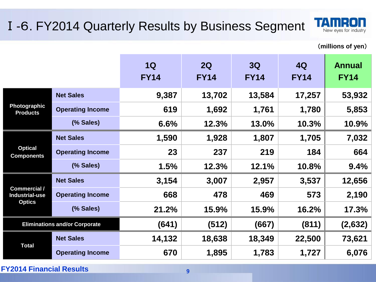#### Ⅰ-6. FY2014 Quarterly Results by Business Segment



(**millions of yen**)

|                                              |                                      | 1Q<br><b>FY14</b> | 2Q<br><b>FY14</b> | 3Q<br><b>FY14</b> | 4Q<br><b>FY14</b> | <b>Annual</b><br><b>FY14</b> |
|----------------------------------------------|--------------------------------------|-------------------|-------------------|-------------------|-------------------|------------------------------|
|                                              | <b>Net Sales</b>                     | 9,387             | 13,702            | 13,584            | 17,257            | 53,932                       |
| Photographic<br><b>Products</b>              | <b>Operating Income</b>              | 619               | 1,692             | 1,761             | 1,780             | 5,853                        |
|                                              | (% Sales)                            | 6.6%              | 12.3%             | 13.0%             | 10.3%             | 10.9%                        |
|                                              | <b>Net Sales</b>                     | 1,590             | 1,928             | 1,807             | 1,705             | 7,032                        |
| <b>Optical</b><br><b>Components</b>          | <b>Operating Income</b>              | 23                | 237               | 219               | 184               | 664                          |
|                                              | (% Sales)                            | 1.5%              | 12.3%             | 12.1%             | 10.8%             | 9.4%                         |
|                                              | <b>Net Sales</b>                     | 3,154             | 3,007             | 2,957             | 3,537             | 12,656                       |
| <b>Commercial /</b><br><b>Industrial-use</b> | <b>Operating Income</b>              | 668               | 478               | 469               | 573               | 2,190                        |
| <b>Optics</b>                                | (% Sales)                            | 21.2%             | 15.9%             | 15.9%             | 16.2%             | 17.3%                        |
|                                              | <b>Eliminations and/or Corporate</b> | (641)             | (512)             | (667)             | (811)             | (2,632)                      |
|                                              | <b>Net Sales</b>                     | 14,132            | 18,638            | 18,349            | 22,500            | 73,621                       |
| <b>Total</b>                                 | <b>Operating Income</b>              | 670               | 1,895             | 1,783             | 1,727             | 6,076                        |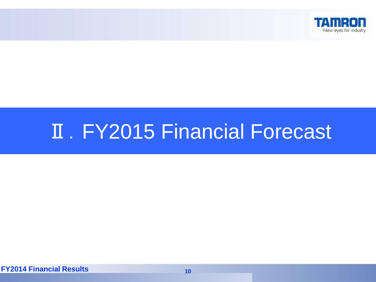

# **II. FY2015 Financial Forecast**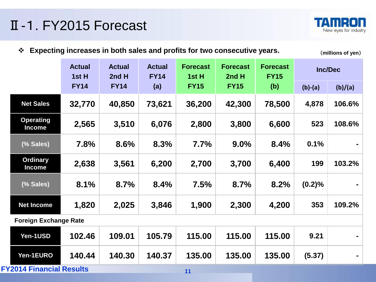### Ⅱ-1. FY2015 Forecast



**Expecting increases in both sales and profits for two consecutive years.** (**millions of yen**)

|                                   | <b>Actual</b><br>1st H | <b>Actual</b><br>2nd H | <b>Actual</b><br><b>FY14</b> | <b>Forecast</b><br>1st H | <b>Forecast</b><br>2nd H | <b>Forecast</b><br><b>FY15</b> |           | <b>Inc/Dec</b> |
|-----------------------------------|------------------------|------------------------|------------------------------|--------------------------|--------------------------|--------------------------------|-----------|----------------|
|                                   | <b>FY14</b>            | <b>FY14</b>            | (a)                          | <b>FY15</b>              | <b>FY15</b>              | (b)                            | $(b)-(a)$ | (b)/(a)        |
| <b>Net Sales</b>                  | 32,770                 | 40,850                 | 73,621                       | 36,200                   | 42,300                   | 78,500                         | 4,878     | 106.6%         |
| <b>Operating</b><br><b>Income</b> | 2,565                  | 3,510                  | 6,076                        | 2,800                    | 3,800                    | 6,600                          | 523       | 108.6%         |
| (% Sales)                         | 7.8%                   | 8.6%                   | 8.3%                         | 7.7%                     | 9.0%                     | 8.4%                           | 0.1%      |                |
| <b>Ordinary</b><br><b>Income</b>  | 2,638                  | 3,561                  | 6,200                        | 2,700                    | 3,700                    | 6,400                          | 199       | 103.2%         |
| (% Sales)                         | 8.1%                   | 8.7%                   | 8.4%                         | 7.5%                     | 8.7%                     | 8.2%                           | (0.2)%    |                |
| <b>Net Income</b>                 | 1,820                  | 2,025                  | 3,846                        | 1,900                    | 2,300                    | 4,200                          | 353       | 109.2%         |
| <b>Foreign Exchange Rate</b>      |                        |                        |                              |                          |                          |                                |           |                |
| Yen-1USD                          | 102.46                 | 109.01                 | 105.79                       | 115.00                   | 115.00                   | 115.00                         | 9.21      |                |
| Yen-1EURO                         | 140.44                 | 140.30                 | 140.37                       | 135.00                   | 135.00                   | 135.00                         | (5.37)    |                |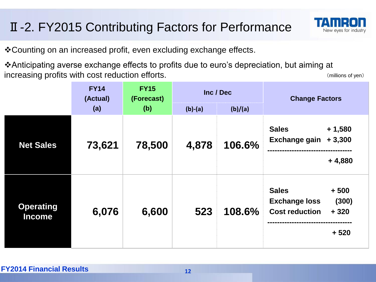#### Ⅱ-2. FY2015 Contributing Factors for Performance



Counting on an increased profit, even excluding exchange effects.

Anticipating averse exchange effects to profits due to euro's depreciation, but aiming at increasing profits with cost reduction efforts. The cost of yen) and the cost of yen) (millions of yen)

|                                   | <b>FY14</b><br>(Actual)<br>(a) | <b>FY15</b><br>(Forecast)<br>(b) | Inc / Dec<br>$(b)-(a)$<br>(b)/(a) |        | <b>Change Factors</b>                                                                                |  |
|-----------------------------------|--------------------------------|----------------------------------|-----------------------------------|--------|------------------------------------------------------------------------------------------------------|--|
| <b>Net Sales</b>                  | 73,621                         | 78,500                           | 4,878                             | 106.6% | <b>Sales</b><br>$+1,580$<br><b>Exchange gain</b><br>$+3,300$<br>$+4,880$                             |  |
| <b>Operating</b><br><b>Income</b> | 6,076                          | 6,600                            | 523                               | 108.6% | <b>Sales</b><br>$+500$<br><b>Exchange loss</b><br>(300)<br><b>Cost reduction</b><br>$+320$<br>$+520$ |  |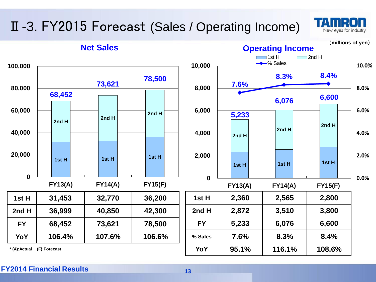### Ⅱ-3. FY2015 Forecast (Sales / Operating Income)



#### **Net Sales**

(**millions of yen**)

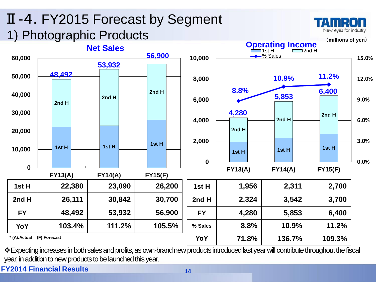### Ⅱ-4. FY2015 Forecast by Segment 1) Photographic Products



\* Expecting increases in both sales and profits, as own-brand new products introduced last year will contribute throughout the fiscal year, in addition to new products to be launched this year.

**FY2014 Financial Results <sup>14</sup>**

T P New eves for industry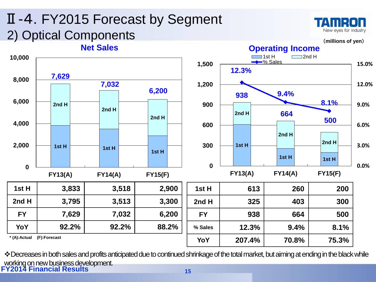#### Ⅱ-4. FY2015 Forecast by Segment TAMP New eves for industry 2) Optical Components(**millions of yen**) **Net Sales Operating Income**  $\Box$ 1st H  $\Box$ 2nd H **10,000 →**% Sales **1,500 15.0% 12.3% 7,629 8,000 7,032 1,200 12.0% 6,200 9.4% 938 6,000 8.1% 900 9.0% 2nd H 2nd H 2nd H 664 2nd H 500 4,000 600 6.0% 2nd H 2nd H 2,000 300 1st H 3.0% 1st H 1st H 1st H 1st H 1st H 0 0.0% 0 FY13(A) FY14(A) FY15(F) FY13(A) FY14(A) FY15(F) 1st H 3,833 3,518 2,900 1st H 613 260 200 2nd H 3,795 3,513 3,300 2nd H 325 403 300 FY 7,629 7,032 6,200 FY 938 664 500 YoY 92.2% 92.2% 88.2% % Sales 12.3% 9.4% 8.1% \* (A):Actual (F):Forecast YoY 207.4% 70.8% 75.3%**

**FY2014 Financial Results <sup>15</sup>** \* Decreases in both sales and profits anticipated due to continued shrinkage of the total market, but aiming at ending in the black while working on new business development.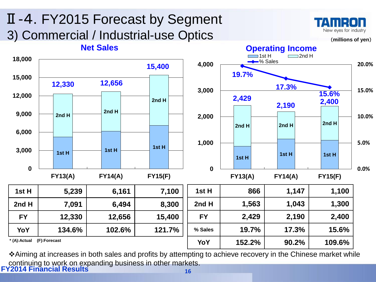

**FY2014 Financial Results <sup>16</sup>** Aiming at increases in both sales and profits by attempting to achieve recovery in the Chinese market while continuing to work on expanding business in other markets.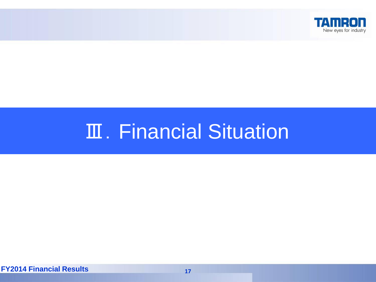

# **Ⅲ. Financial Situation**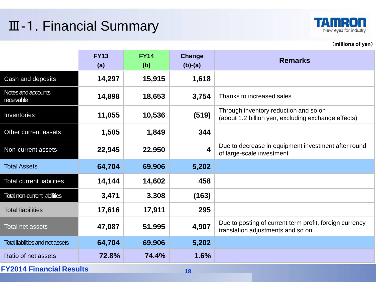### Ⅲ-1. Financial Summary



(**millions of yen**)

|                                         | <b>FY13</b><br>(a) | <b>FY14</b><br>(b) | Change<br>$(b)-(a)$     | <b>Remarks</b>                                                                               |  |  |  |
|-----------------------------------------|--------------------|--------------------|-------------------------|----------------------------------------------------------------------------------------------|--|--|--|
| Cash and deposits                       | 14,297             | 15,915             | 1,618                   |                                                                                              |  |  |  |
| Notes and accounts<br>receivable        | 14,898             | 18,653             | 3,754                   | Thanks to increased sales                                                                    |  |  |  |
| Inventories                             | 11,055             | 10,536             | (519)                   | Through inventory reduction and so on<br>(about 1.2 billion yen, excluding exchange effects) |  |  |  |
| Other current assets                    | 1,505              | 1,849              | 344                     |                                                                                              |  |  |  |
| Non-current assets                      | 22,945             | 22,950             | $\overline{\mathbf{4}}$ | Due to decrease in equipment investment after round<br>of large-scale investment             |  |  |  |
| <b>Total Assets</b>                     | 64,704             | 69,906             | 5,202                   |                                                                                              |  |  |  |
| <b>Total current liabilities</b>        | 14,144             | 14,602             | 458                     |                                                                                              |  |  |  |
| <b>Total non-current liabilities</b>    | 3,471              | 3,308              | (163)                   |                                                                                              |  |  |  |
| <b>Total liabilities</b>                | 17,616             | 17,911             | 295                     |                                                                                              |  |  |  |
| <b>Total net assets</b>                 | 47,087             | 51,995             | 4,907                   | Due to posting of current term profit, foreign currency<br>translation adjustments and so on |  |  |  |
| <b>Total liabilities and net assets</b> | 64,704             | 69,906             | 5,202                   |                                                                                              |  |  |  |
| Ratio of net assets                     | 72.8%              | 74.4%              | 1.6%                    |                                                                                              |  |  |  |
| <b>FY2014 Financial Results</b><br>18   |                    |                    |                         |                                                                                              |  |  |  |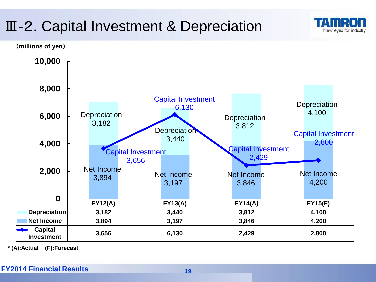### Ⅲ-2. Capital Investment & Depreciation



New eves for industry

**\* (A):Actual (F):Forecast**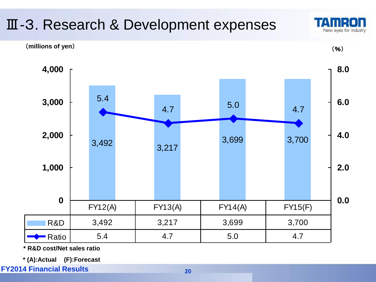

**\* R&D cost/Net sales ratio**

**\* (A):Actual (F):Forecast**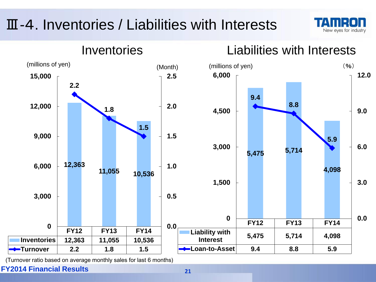### Ⅲ-4. Inventories / Liabilities with Interests





(Turnover ratio based on average monthly sales for last 6 months)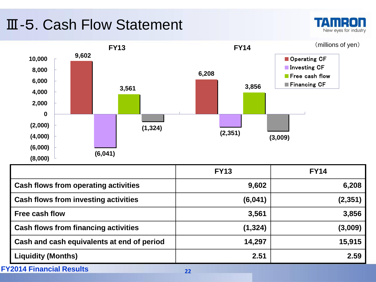### Ⅲ-5. Cash Flow Statement

TATIE New eyes for industry



|                                             | <b>FY13</b> | <b>FY14</b> |
|---------------------------------------------|-------------|-------------|
| <b>Cash flows from operating activities</b> | 9,602       | 6,208       |
| <b>Cash flows from investing activities</b> | (6,041)     | (2,351)     |
| <b>Free cash flow</b>                       | 3,561       | 3,856       |
| <b>Cash flows from financing activities</b> | (1, 324)    | (3,009)     |
| Cash and cash equivalents at end of period  | 14,297      | 15,915      |
| <b>Liquidity (Months)</b>                   | 2.51        | 2.59        |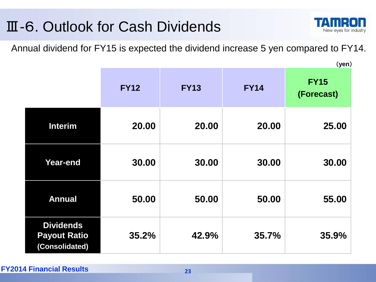### Ⅲ-6. Outlook for Cash Dividends



(**yen**)

Annual dividend for FY15 is expected the dividend increase 5 yen compared to FY14.

|                                                           | <b>FY12</b> | <b>FY13</b> | <b>FY14</b> | <b>FY15</b><br>(Forecast) |
|-----------------------------------------------------------|-------------|-------------|-------------|---------------------------|
| <b>Interim</b>                                            | 20.00       | 20.00       | 20.00       | 25.00                     |
| <b>Year-end</b>                                           | 30.00       | 30.00       | 30.00       | 30.00                     |
| <b>Annual</b>                                             | 50.00       | 50.00       | 50.00       | 55.00                     |
| <b>Dividends</b><br><b>Payout Ratio</b><br>(Consolidated) | 35.2%       | 42.9%       | 35.7%       | 35.9%                     |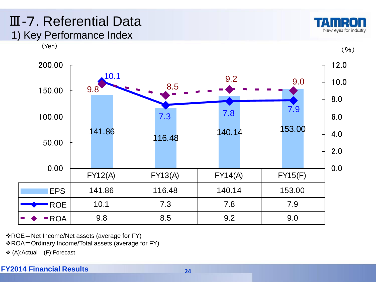#### Ⅲ-7. Referential Data 1) Key Performance Index





ROE=Net Income/Net assets (average for FY)

ROA=Ordinary Income/Total assets (average for FY)

(A):Actual (F):Forecast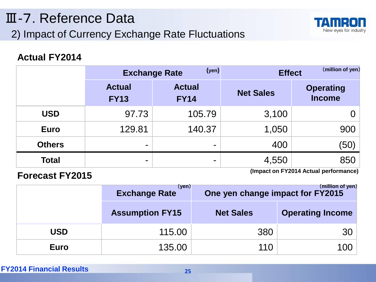#### 2) Impact of Currency Exchange Rate Fluctuations Ⅲ-7. Reference Data



#### **Actual FY2014**

|               | (yen)<br><b>Exchange Rate</b> |                              | <b>Effect</b>    | (million of yen)                  |
|---------------|-------------------------------|------------------------------|------------------|-----------------------------------|
|               | <b>Actual</b><br><b>FY13</b>  | <b>Actual</b><br><b>FY14</b> | <b>Net Sales</b> | <b>Operating</b><br><b>Income</b> |
| <b>USD</b>    | 97.73                         | 105.79                       | 3,100            |                                   |
| <b>Euro</b>   | 129.81                        | 140.37                       | 1,050            | 900                               |
| <b>Others</b> | $\overline{\phantom{a}}$      | ۰                            | 400              | (50)                              |
| <b>Total</b>  | $\overline{\phantom{a}}$      | ۰                            | 4,550            | 850                               |

**Forecast FY2015 (Impact on FY2014 Actual performance)**

|             | (yen)<br><b>Exchange Rate</b> | One yen change impact for FY2015 | (million of yen)        |
|-------------|-------------------------------|----------------------------------|-------------------------|
|             | <b>Assumption FY15</b>        | <b>Net Sales</b>                 | <b>Operating Income</b> |
| <b>USD</b>  | 115.00                        | 380                              | 30                      |
| <b>Euro</b> | 135.00                        | 110                              | 100                     |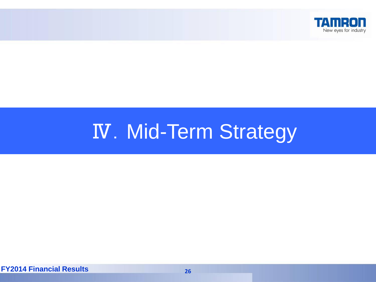

# **IV. Mid-Term Strategy**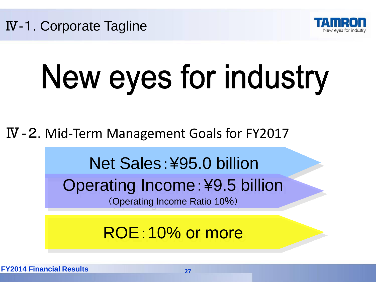

# New eyes for industry

Ⅳ‐2. Mid-Term Management Goals for FY2017

Net Sales:¥95.0 billion

Operating Income:¥9.5 billion (Operating Income Ratio 10%)

ROE:10% or more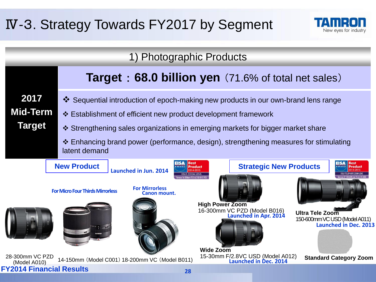### Ⅳ-3. Strategy Towards FY2017 by Segment



New eyes for industry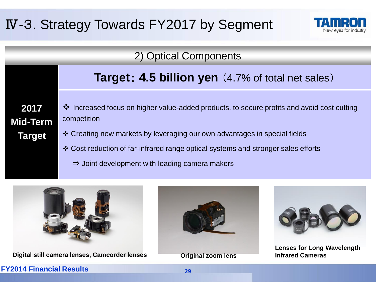### Ⅳ-3. Strategy Towards FY2017 by Segment



|  | 2) Optical Components |
|--|-----------------------|
|--|-----------------------|

|  | Target: 4.5 billion yen (4.7% of total net sales) |
|--|---------------------------------------------------|
|--|---------------------------------------------------|

**2017 Mid-Term Target**

- Increased focus on higher value-added products, to secure profits and avoid cost cutting competition
- Creating new markets by leveraging our own advantages in special fields
- Cost reduction of far-infrared range optical systems and stronger sales efforts
	- ⇒ Joint development with leading camera makers



**Digital still camera lenses, Camcorder lenses by Communication Communication Cameras** 



**Original zoom lens** 



**Lenses for Long Wavelength**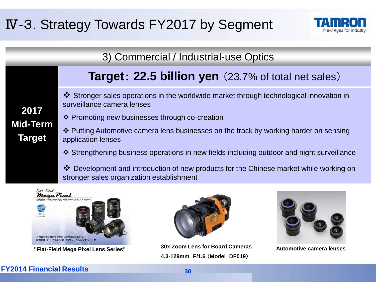### Ⅳ-3. Strategy Towards FY2017 by Segment



3) Commercial / Industrial-use Optics

#### **Target**: **22.5 billion yen** (23.7% of total net sales)

 Stronger sales operations in the worldwide market through technological innovation in surveillance camera lenses

#### Promoting new businesses through co-creation

 Putting Automotive camera lens businesses on the track by working harder on sensing application lenses

Strengthening business operations in new fields including outdoor and night surveillance

 Development and introduction of new products for the Chinese market while working on stronger sales organization establishment





**"Flat-Field Mega Pixel Lens Series"** 30x Zoom Lens for Board Cameras Automotive camera lenses **4.3-129mm F/1.6** (**Model DF019**)



#### **FY2014 Financial Results <sup>30</sup>**

**2017**

**Mid-Term**

**Target**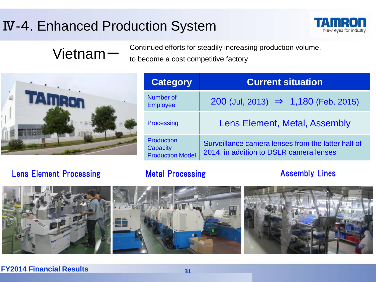### Ⅳ-4. Enhanced Production System



### Vietnam-

Continued efforts for steadily increasing production volume, to become a cost competitive factory



| <b>Category</b>                                          | <b>Current situation</b>                                                                      |  |
|----------------------------------------------------------|-----------------------------------------------------------------------------------------------|--|
| Number of<br><b>Employee</b>                             | 200 (Jul, 2013) $\Rightarrow$ 1,180 (Feb, 2015)                                               |  |
| Processing                                               | Lens Element, Metal, Assembly                                                                 |  |
| <b>Production</b><br>Capacity<br><b>Production Model</b> | Surveillance camera lenses from the latter half of<br>2014, in addition to DSLR camera lenses |  |

#### Lens Element Processing **Metal Processing Community Assembly Lines**

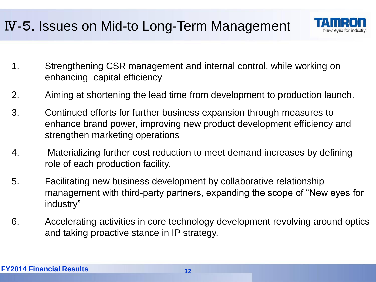### Ⅳ-5. Issues on Mid-to Long-Term Management



- 1. Strengthening CSR management and internal control, while working on enhancing capital efficiency
- 2. Aiming at shortening the lead time from development to production launch.
- 3. Continued efforts for further business expansion through measures to enhance brand power, improving new product development efficiency and strengthen marketing operations
- 4. Materializing further cost reduction to meet demand increases by defining role of each production facility.
- 5. Facilitating new business development by collaborative relationship management with third-party partners, expanding the scope of "New eyes for industry"
- 6. Accelerating activities in core technology development revolving around optics and taking proactive stance in IP strategy.